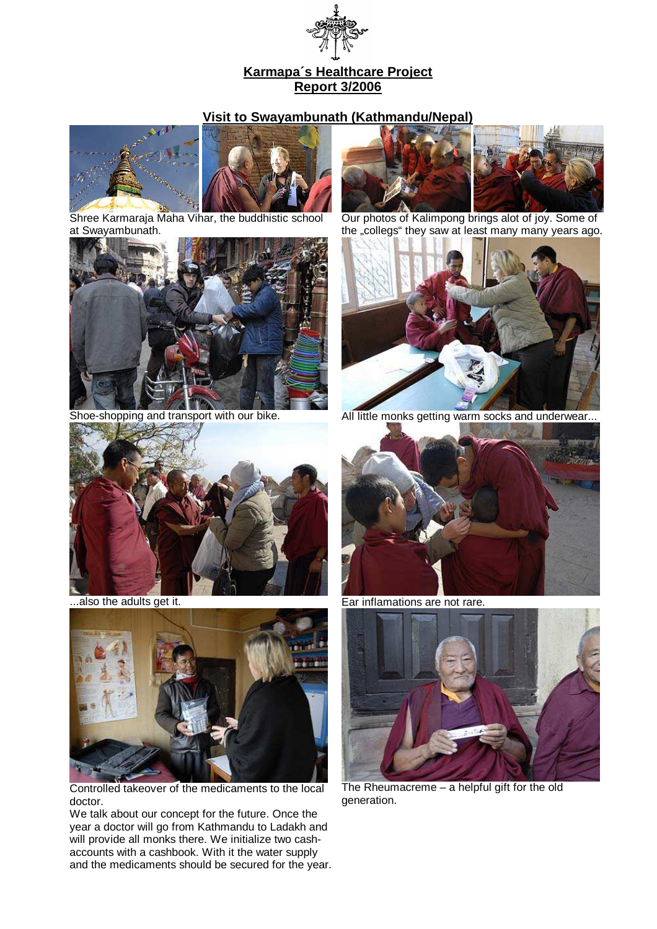

## **Karmapa´s Healthcare Project Report 3/2006**

## **Visit to Swayambunath (Kathmandu/Nepal)**





Shree Karmaraja Maha Vihar, the buddhistic school at Swayambunath.





Our photos of Kalimpong brings alot of joy. Some of the "collegs" they saw at least many many years ago.



Shoe-shopping and transport with our bike. All little monks getting warm socks and underwear...





Controlled takeover of the medicaments to the local doctor.

We talk about our concept for the future. Once the year a doctor will go from Kathmandu to Ladakh and will provide all monks there. We initialize two cashaccounts with a cashbook. With it the water supply and the medicaments should be secured for the year.



...also the adults get it. **Ear inflamations are not rare.** 



The Rheumacreme – a helpful gift for the old generation.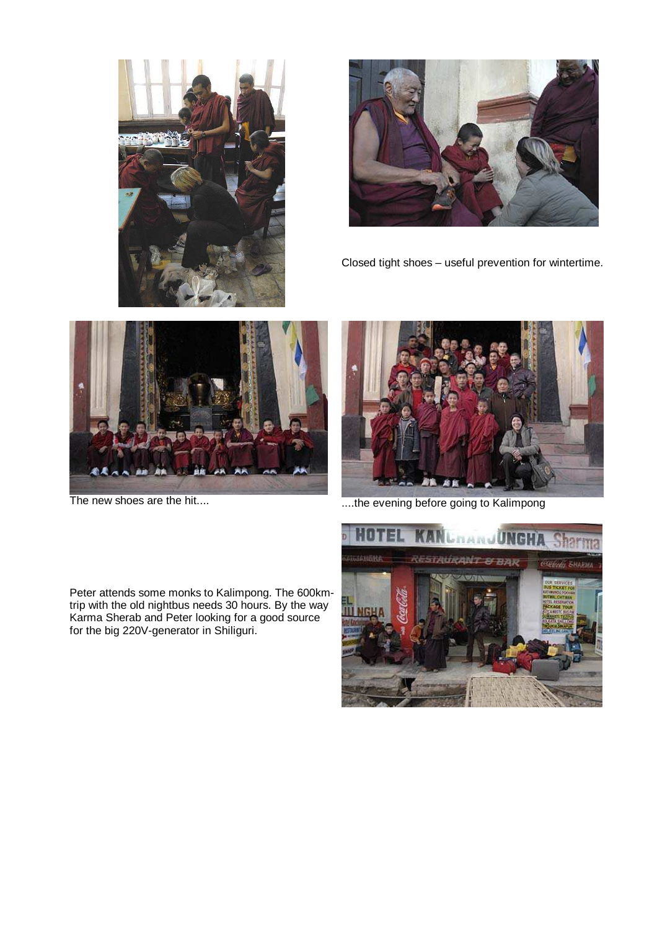



Closed tight shoes – useful prevention for wintertime.





The new shoes are the hit.... ....the evening before going to Kalimpong

Peter attends some monks to Kalimpong. The 600kmtrip with the old nightbus needs 30 hours. By the way Karma Sherab and Peter looking for a good source for the big 220V-generator in Shiliguri.

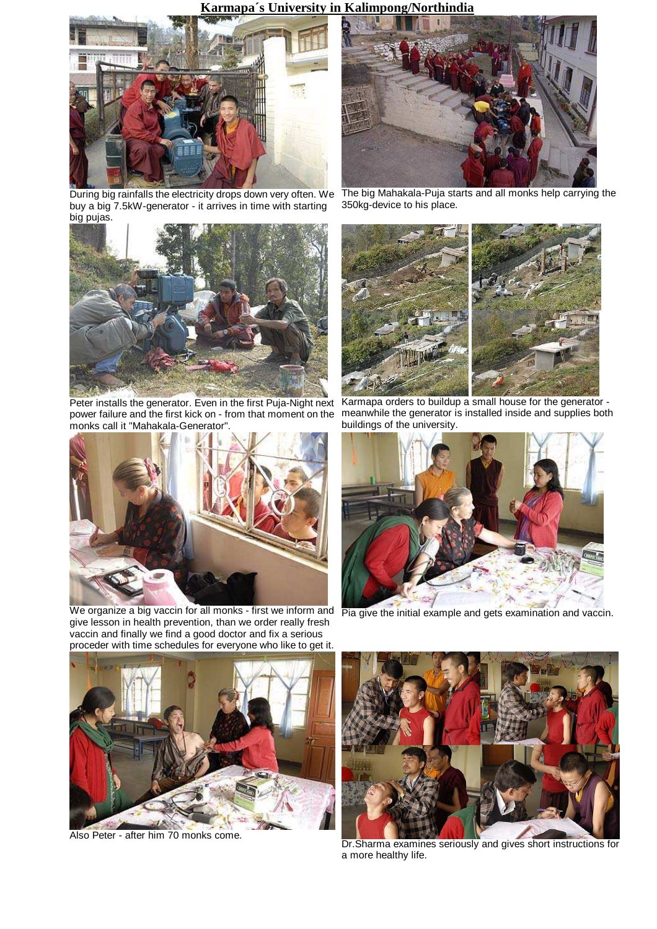

During big rainfalls the electricity drops down very often. We buy a big 7.5kW-generator - it arrives in time with starting big pujas.



Peter installs the generator. Even in the first Puja-Night next power failure and the first kick on - from that moment on the monks call it "Mahakala-Generator".



We organize a big vaccin for all monks - first we inform and give lesson in health prevention, than we order really fresh vaccin and finally we find a good doctor and fix a serious proceder with time schedules for everyone who like to get it.



The big Mahakala-Puja starts and all monks help carrying the 350kg-device to his place.



Karmapa orders to buildup a small house for the generator meanwhile the generator is installed inside and supplies both buildings of the university.



Pia give the initial example and gets examination and vaccin.



Also Peter - after him 70 monks come.



Dr.Sharma examines seriously and gives short instructions for a more healthy life.